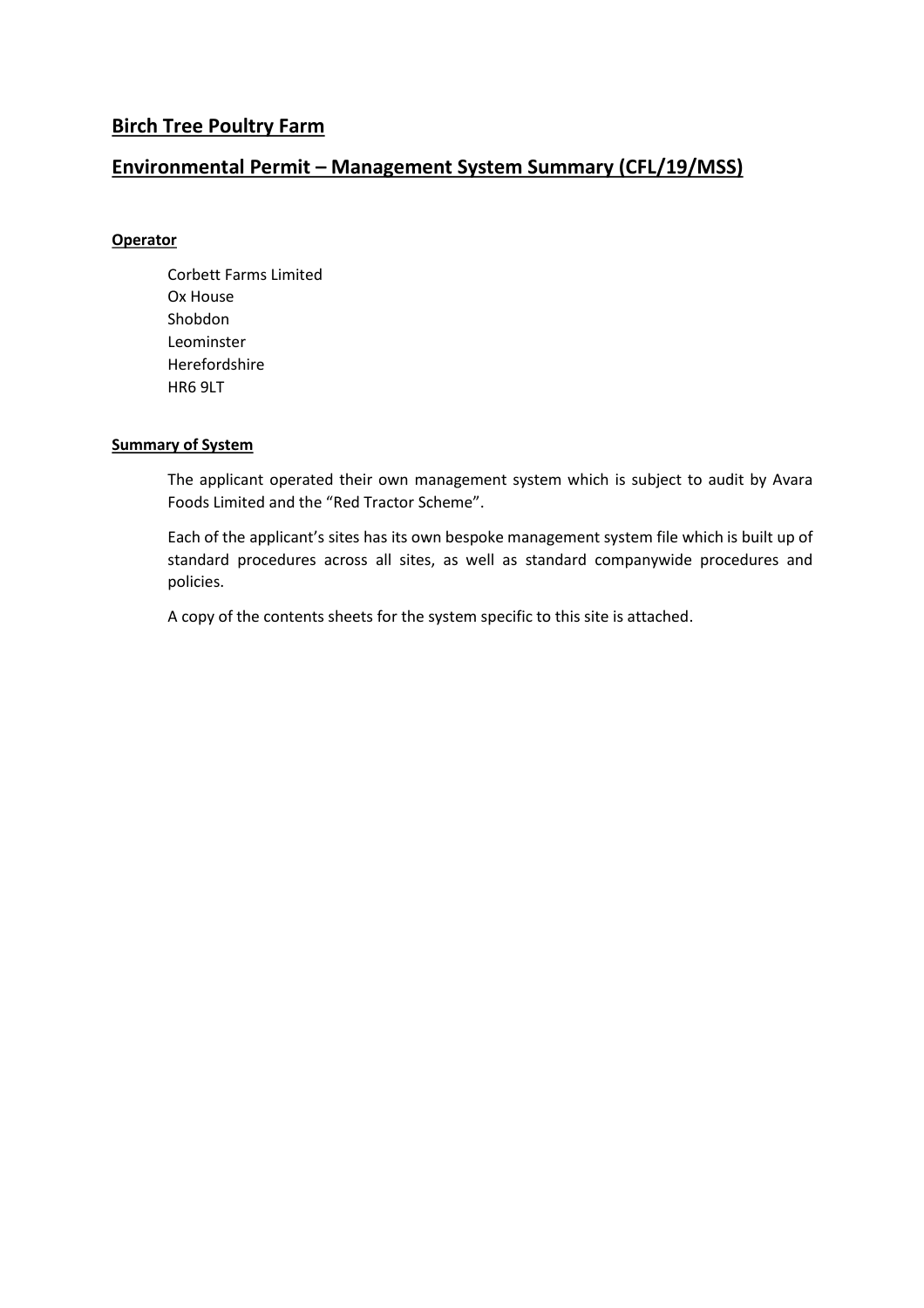### **Birch Tree Poultry Farm**

### **Environmental Permit – Management System Summary (CFL/19/MSS)**

### **Operator**

Corbett Farms Limited Ox House Shobdon Leominster Herefordshire HR6 9LT

#### **Summary of System**

The applicant operated their own management system which is subject to audit by Avara Foods Limited and the "Red Tractor Scheme".

Each of the applicant's sites has its own bespoke management system file which is built up of standard procedures across all sites, as well as standard companywide procedures and policies.

A copy of the contents sheets for the system specific to this site is attached.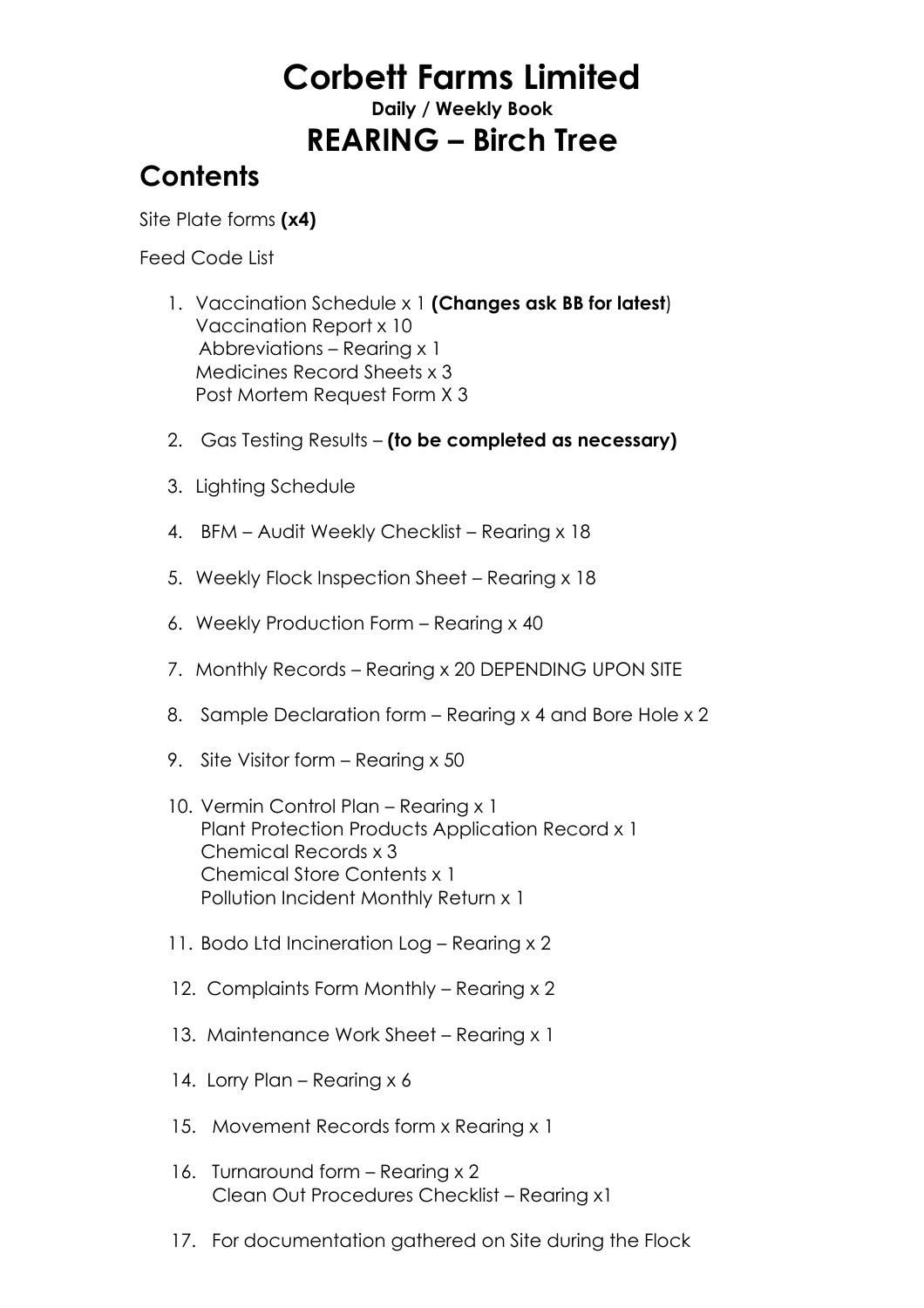# **Corbett Farms Limited**

**Daily / Weekly Book**

## **REARING – Birch Tree**

### **Contents**

Site Plate forms **(x4)**

Feed Code List

- 1. Vaccination Schedule x 1 **(Changes ask BB for latest**) Vaccination Report x 10 Abbreviations – Rearing x 1 Medicines Record Sheets x 3 Post Mortem Request Form X 3
- 2. Gas Testing Results **(to be completed as necessary)**
- 3. Lighting Schedule
- 4. BFM Audit Weekly Checklist Rearing x 18
- 5. Weekly Flock Inspection Sheet Rearing x 18
- 6. Weekly Production Form Rearing x 40
- 7. Monthly Records Rearing x 20 DEPENDING UPON SITE
- 8. Sample Declaration form Rearing x 4 and Bore Hole x 2
- 9. Site Visitor form Rearing x 50
- 10. Vermin Control Plan Rearing x 1 Plant Protection Products Application Record x 1 Chemical Records x 3 Chemical Store Contents x 1 Pollution Incident Monthly Return x 1
- 11. Bodo Ltd Incineration Log Rearing x 2
- 12. Complaints Form Monthly Rearing x 2
- 13. Maintenance Work Sheet Rearing x 1
- 14. Lorry Plan Rearing x 6
- 15. Movement Records form x Rearing x 1
- 16. Turnaround form Rearing x 2 Clean Out Procedures Checklist – Rearing x1
- 17. For documentation gathered on Site during the Flock